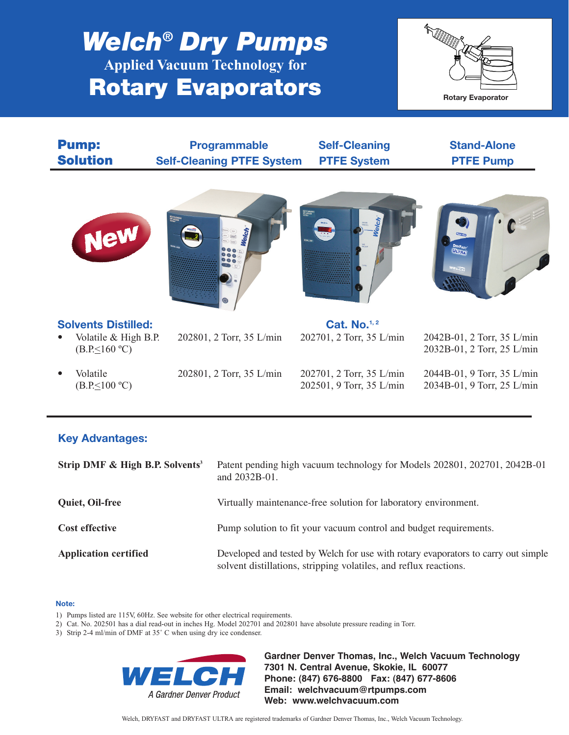## *Welch***®** *Dry Pumps* **Applied Vacuum Technology for Rotary Evaporators**



| <b>Pump:</b>    | <b>Programmable</b>              | <b>Self-Cleaning</b> | <b>Stand-Alone</b> |
|-----------------|----------------------------------|----------------------|--------------------|
| <b>Solution</b> | <b>Self-Cleaning PTFE System</b> | <b>PTFE System</b>   | <b>PTFE Pump</b>   |







**Solvents Distilled:** Cat. No.<sup>1,2</sup>

- 
- 
- 

**•** Volatile & High B.P. 202801, 2 Torr, 35 L/min 202701, 2 Torr, 35 L/min 2042B-01, 2 Torr, 35 L/min (B.P.<160 ºC) 2032B-01, 2 Torr, 25 L/min

**•** Volatile 202801, 2 Torr, 35 L/min 202701, 2 Torr, 35 L/min 2044B-01, 9 Torr, 35 L/min (B.P.<100 ºC) 202501, 9 Torr, 35 L/min 2034B-01, 9 Torr, 25 L/min

## **Key Advantages:**

| Strip DMF & High B.P. Solvents <sup>3</sup> | Patent pending high vacuum technology for Models 202801, 202701, 2042B-01<br>and 2032B-01.                                                             |
|---------------------------------------------|--------------------------------------------------------------------------------------------------------------------------------------------------------|
| <b>Quiet, Oil-free</b>                      | Virtually maintenance-free solution for laboratory environment.                                                                                        |
| <b>Cost effective</b>                       | Pump solution to fit your vacuum control and budget requirements.                                                                                      |
| <b>Application certified</b>                | Developed and tested by Welch for use with rotary evaporators to carry out simple<br>solvent distillations, stripping volatiles, and reflux reactions. |

## **Note:**

1) Pumps listed are 115V, 60Hz. See website for other electrical requirements.

2) Cat. No. 202501 has a dial read-out in inches Hg. Model 202701 and 202801 have absolute pressure reading in Torr.

3) Strip 2-4 ml/min of DMF at 35˚ C when using dry ice condenser.



**Gardner Denver Thomas, Inc., Welch Vacuum Technology 7301 N. Central Avenue, Skokie, IL 60077 Phone: (847) 676-8800 Fax: (847) 677-8606 Email: welchvacuum@rtpumps.com Web: www.welchvacuum.com**